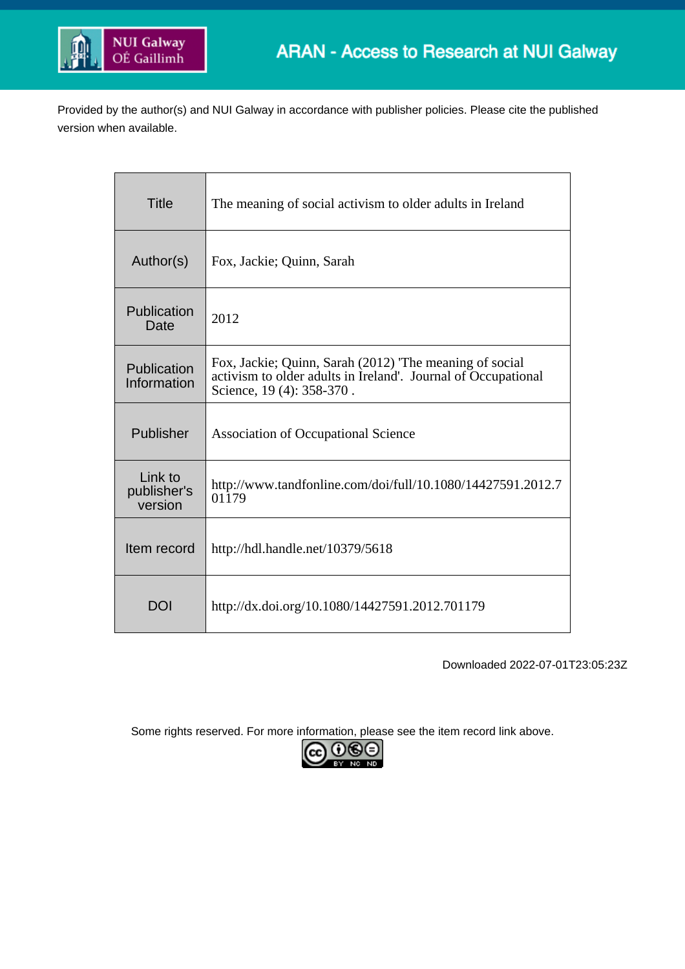

Provided by the author(s) and NUI Galway in accordance with publisher policies. Please cite the published version when available.

| <b>Title</b>                      | The meaning of social activism to older adults in Ireland                                                                                            |
|-----------------------------------|------------------------------------------------------------------------------------------------------------------------------------------------------|
| Author(s)                         | Fox, Jackie; Quinn, Sarah                                                                                                                            |
| Publication<br>Date               | 2012                                                                                                                                                 |
| Publication<br>Information        | Fox, Jackie; Quinn, Sarah (2012) The meaning of social<br>activism to older adults in Ireland'. Journal of Occupational<br>Science, 19 (4): 358-370. |
| Publisher                         | <b>Association of Occupational Science</b>                                                                                                           |
| Link to<br>publisher's<br>version | http://www.tandfonline.com/doi/full/10.1080/14427591.2012.7<br>01179                                                                                 |
| Item record                       | http://hdl.handle.net/10379/5618                                                                                                                     |
| DOI                               | http://dx.doi.org/10.1080/14427591.2012.701179                                                                                                       |

Downloaded 2022-07-01T23:05:23Z

Some rights reserved. For more information, please see the item record link above.

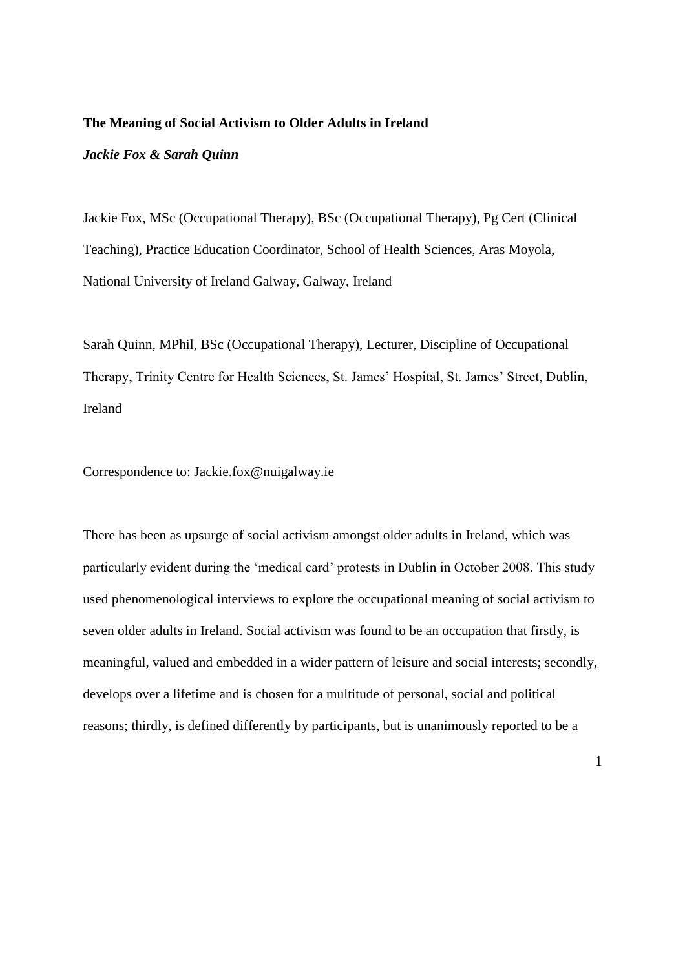#### **The Meaning of Social Activism to Older Adults in Ireland**

#### *Jackie Fox & Sarah Quinn*

Jackie Fox, MSc (Occupational Therapy), BSc (Occupational Therapy), Pg Cert (Clinical Teaching), Practice Education Coordinator, School of Health Sciences, Aras Moyola, National University of Ireland Galway, Galway, Ireland

Sarah Quinn, MPhil, BSc (Occupational Therapy), Lecturer, Discipline of Occupational Therapy, Trinity Centre for Health Sciences, St. James' Hospital, St. James' Street, Dublin, Ireland

Correspondence to: Jackie.fox@nuigalway.ie

There has been as upsurge of social activism amongst older adults in Ireland, which was particularly evident during the 'medical card' protests in Dublin in October 2008. This study used phenomenological interviews to explore the occupational meaning of social activism to seven older adults in Ireland. Social activism was found to be an occupation that firstly, is meaningful, valued and embedded in a wider pattern of leisure and social interests; secondly, develops over a lifetime and is chosen for a multitude of personal, social and political reasons; thirdly, is defined differently by participants, but is unanimously reported to be a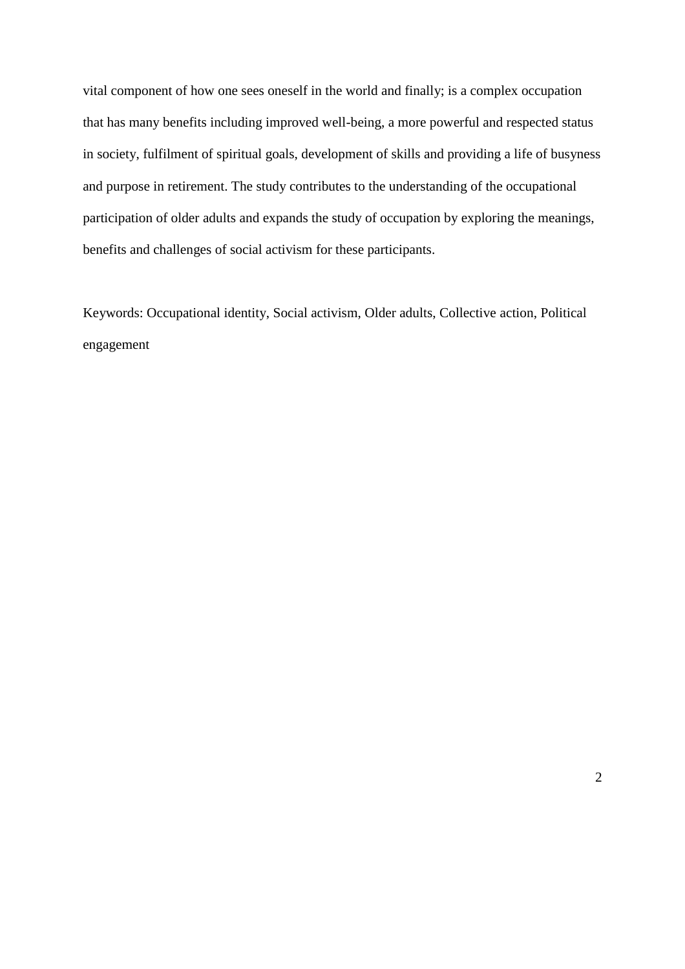vital component of how one sees oneself in the world and finally; is a complex occupation that has many benefits including improved well-being, a more powerful and respected status in society, fulfilment of spiritual goals, development of skills and providing a life of busyness and purpose in retirement. The study contributes to the understanding of the occupational participation of older adults and expands the study of occupation by exploring the meanings, benefits and challenges of social activism for these participants.

Keywords: Occupational identity, Social activism, Older adults, Collective action, Political engagement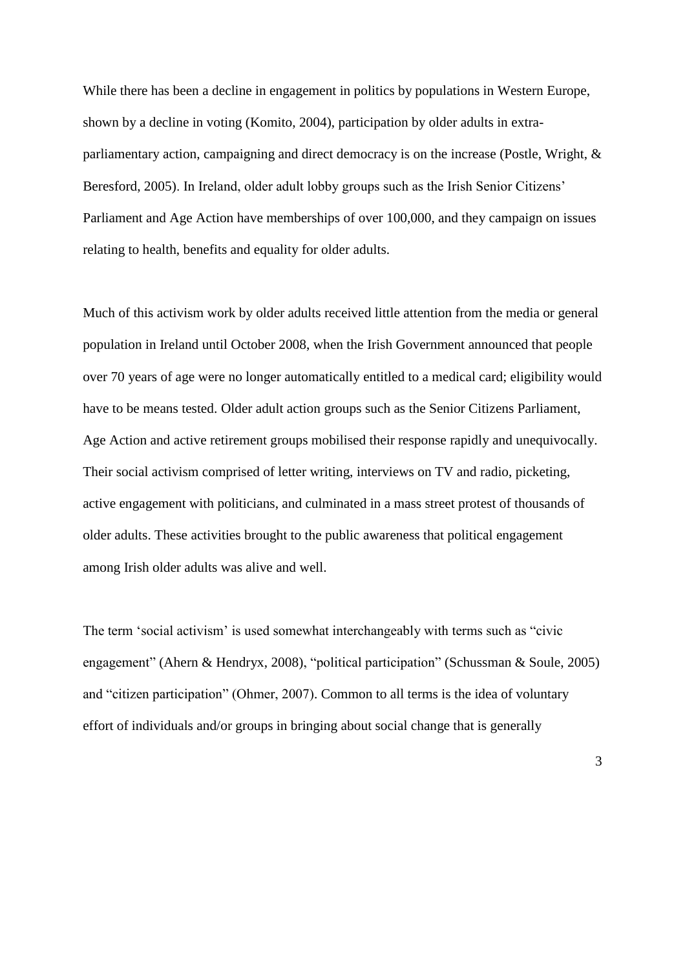While there has been a decline in engagement in politics by populations in Western Europe, shown by a decline in voting (Komito, 2004), participation by older adults in extraparliamentary action, campaigning and direct democracy is on the increase (Postle, Wright, & Beresford, 2005). In Ireland, older adult lobby groups such as the Irish Senior Citizens' Parliament and Age Action have memberships of over 100,000, and they campaign on issues relating to health, benefits and equality for older adults.

Much of this activism work by older adults received little attention from the media or general population in Ireland until October 2008, when the Irish Government announced that people over 70 years of age were no longer automatically entitled to a medical card; eligibility would have to be means tested. Older adult action groups such as the Senior Citizens Parliament, Age Action and active retirement groups mobilised their response rapidly and unequivocally. Their social activism comprised of letter writing, interviews on TV and radio, picketing, active engagement with politicians, and culminated in a mass street protest of thousands of older adults. These activities brought to the public awareness that political engagement among Irish older adults was alive and well.

The term 'social activism' is used somewhat interchangeably with terms such as "civic engagement" (Ahern & Hendryx, 2008), "political participation" (Schussman & Soule, 2005) and "citizen participation" (Ohmer, 2007). Common to all terms is the idea of voluntary effort of individuals and/or groups in bringing about social change that is generally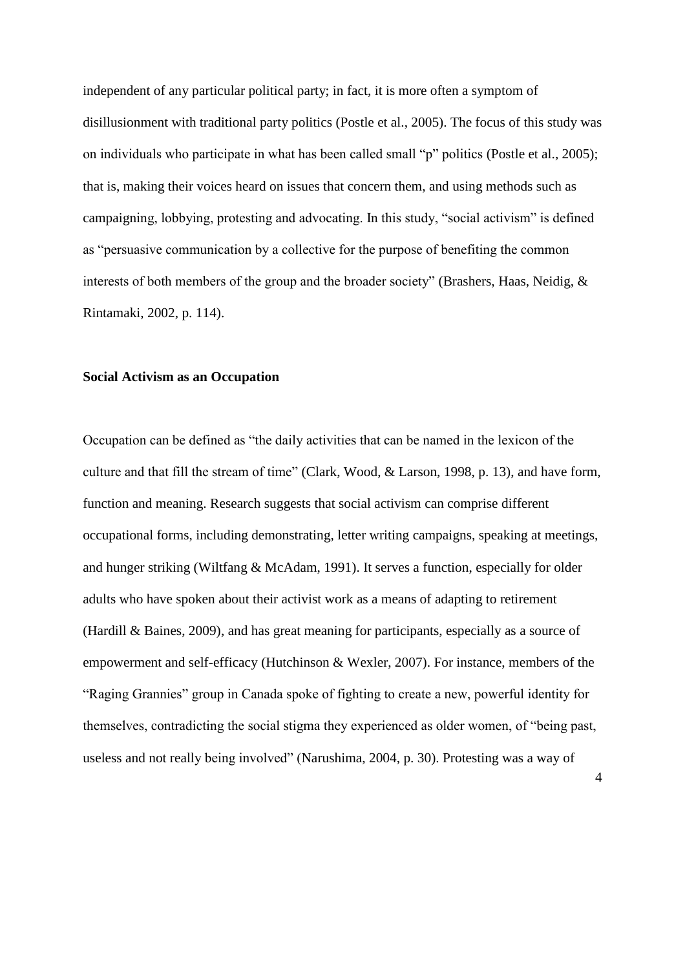independent of any particular political party; in fact, it is more often a symptom of disillusionment with traditional party politics (Postle et al., 2005). The focus of this study was on individuals who participate in what has been called small "p" politics (Postle et al., 2005); that is, making their voices heard on issues that concern them, and using methods such as campaigning, lobbying, protesting and advocating. In this study, "social activism" is defined as "persuasive communication by a collective for the purpose of benefiting the common interests of both members of the group and the broader society" (Brashers, Haas, Neidig, & Rintamaki, 2002, p. 114).

#### **Social Activism as an Occupation**

Occupation can be defined as "the daily activities that can be named in the lexicon of the culture and that fill the stream of time" (Clark, Wood, & Larson, 1998, p. 13), and have form, function and meaning. Research suggests that social activism can comprise different occupational forms, including demonstrating, letter writing campaigns, speaking at meetings, and hunger striking (Wiltfang & McAdam, 1991). It serves a function, especially for older adults who have spoken about their activist work as a means of adapting to retirement (Hardill & Baines, 2009), and has great meaning for participants, especially as a source of empowerment and self-efficacy (Hutchinson & Wexler, 2007). For instance, members of the "Raging Grannies" group in Canada spoke of fighting to create a new, powerful identity for themselves, contradicting the social stigma they experienced as older women, of "being past, useless and not really being involved" (Narushima, 2004, p. 30). Protesting was a way of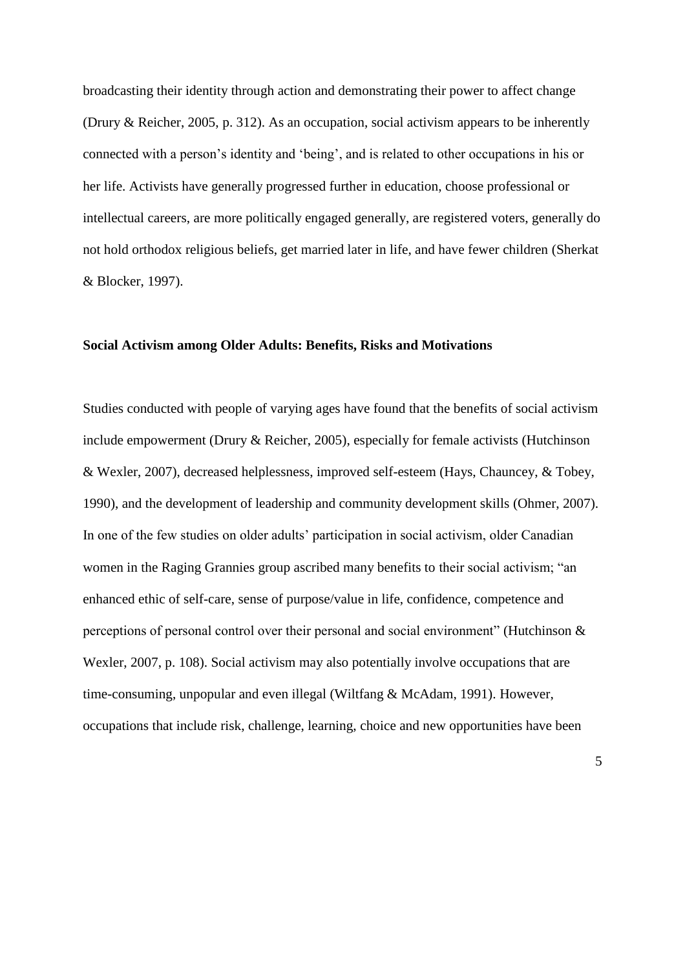broadcasting their identity through action and demonstrating their power to affect change (Drury & Reicher, 2005, p. 312). As an occupation, social activism appears to be inherently connected with a person's identity and 'being', and is related to other occupations in his or her life. Activists have generally progressed further in education, choose professional or intellectual careers, are more politically engaged generally, are registered voters, generally do not hold orthodox religious beliefs, get married later in life, and have fewer children (Sherkat & Blocker, 1997).

#### **Social Activism among Older Adults: Benefits, Risks and Motivations**

Studies conducted with people of varying ages have found that the benefits of social activism include empowerment (Drury & Reicher, 2005), especially for female activists (Hutchinson & Wexler, 2007), decreased helplessness, improved self-esteem (Hays, Chauncey, & Tobey, 1990), and the development of leadership and community development skills (Ohmer, 2007). In one of the few studies on older adults' participation in social activism, older Canadian women in the Raging Grannies group ascribed many benefits to their social activism; "an enhanced ethic of self-care, sense of purpose/value in life, confidence, competence and perceptions of personal control over their personal and social environment" (Hutchinson & Wexler, 2007, p. 108). Social activism may also potentially involve occupations that are time-consuming, unpopular and even illegal (Wiltfang & McAdam, 1991). However, occupations that include risk, challenge, learning, choice and new opportunities have been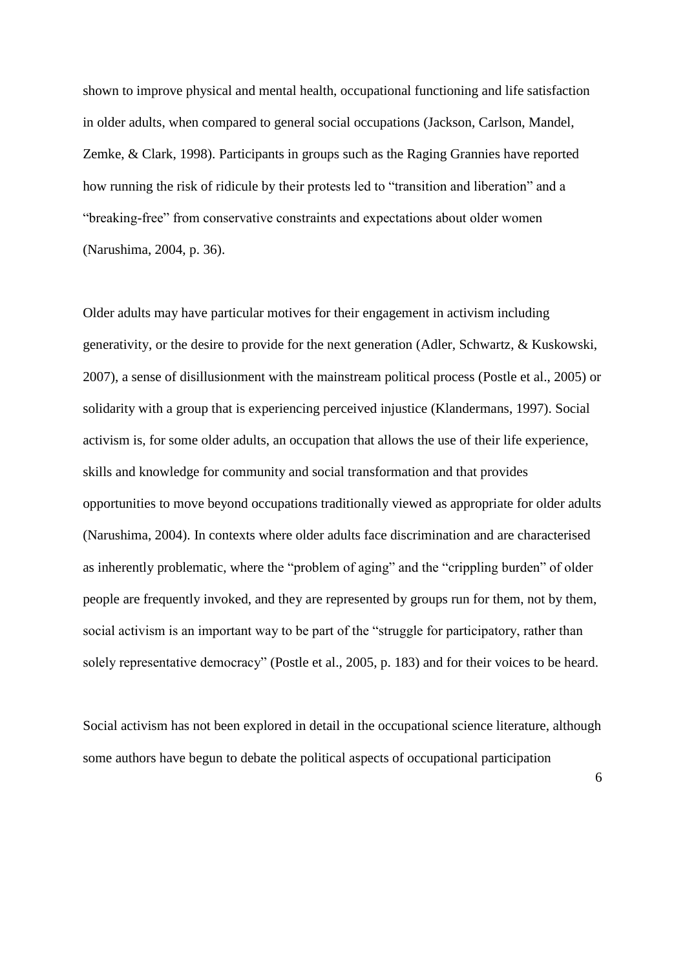shown to improve physical and mental health, occupational functioning and life satisfaction in older adults, when compared to general social occupations (Jackson, Carlson, Mandel, Zemke, & Clark, 1998). Participants in groups such as the Raging Grannies have reported how running the risk of ridicule by their protests led to "transition and liberation" and a "breaking-free" from conservative constraints and expectations about older women (Narushima, 2004, p. 36).

Older adults may have particular motives for their engagement in activism including generativity, or the desire to provide for the next generation (Adler, Schwartz, & Kuskowski, 2007), a sense of disillusionment with the mainstream political process (Postle et al., 2005) or solidarity with a group that is experiencing perceived injustice (Klandermans, 1997). Social activism is, for some older adults, an occupation that allows the use of their life experience, skills and knowledge for community and social transformation and that provides opportunities to move beyond occupations traditionally viewed as appropriate for older adults (Narushima, 2004). In contexts where older adults face discrimination and are characterised as inherently problematic, where the "problem of aging" and the "crippling burden" of older people are frequently invoked, and they are represented by groups run for them, not by them, social activism is an important way to be part of the "struggle for participatory, rather than solely representative democracy" (Postle et al., 2005, p. 183) and for their voices to be heard.

Social activism has not been explored in detail in the occupational science literature, although some authors have begun to debate the political aspects of occupational participation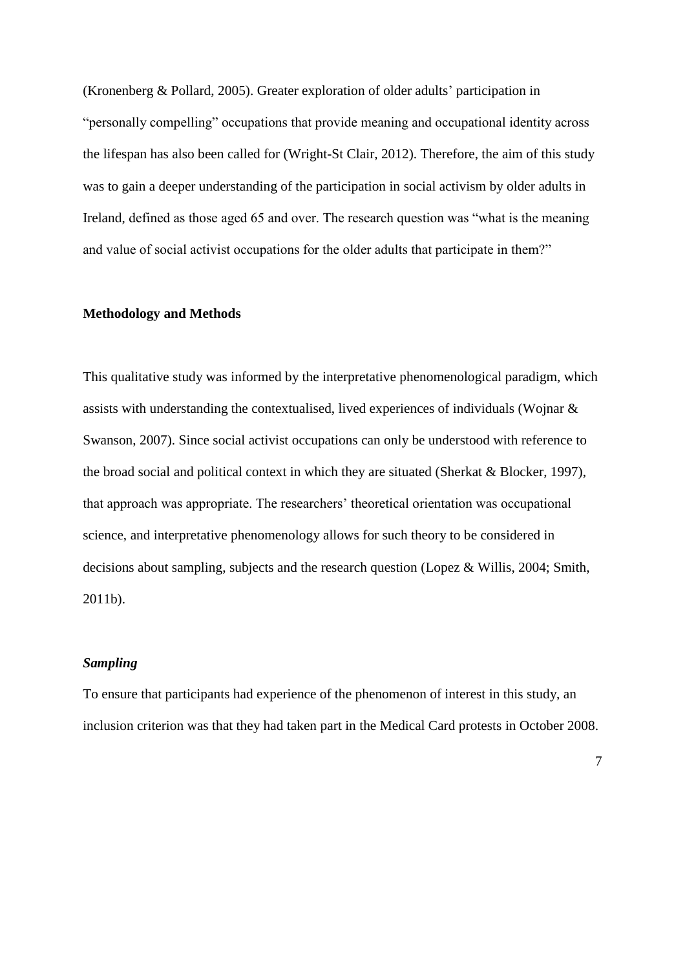(Kronenberg & Pollard, 2005). Greater exploration of older adults' participation in "personally compelling" occupations that provide meaning and occupational identity across the lifespan has also been called for (Wright-St Clair, 2012). Therefore, the aim of this study was to gain a deeper understanding of the participation in social activism by older adults in Ireland, defined as those aged 65 and over. The research question was "what is the meaning and value of social activist occupations for the older adults that participate in them?"

### **Methodology and Methods**

This qualitative study was informed by the interpretative phenomenological paradigm, which assists with understanding the contextualised, lived experiences of individuals (Wojnar & Swanson, 2007). Since social activist occupations can only be understood with reference to the broad social and political context in which they are situated (Sherkat & Blocker, 1997), that approach was appropriate. The researchers' theoretical orientation was occupational science, and interpretative phenomenology allows for such theory to be considered in decisions about sampling, subjects and the research question (Lopez & Willis, 2004; Smith, 2011b).

# *Sampling*

To ensure that participants had experience of the phenomenon of interest in this study, an inclusion criterion was that they had taken part in the Medical Card protests in October 2008.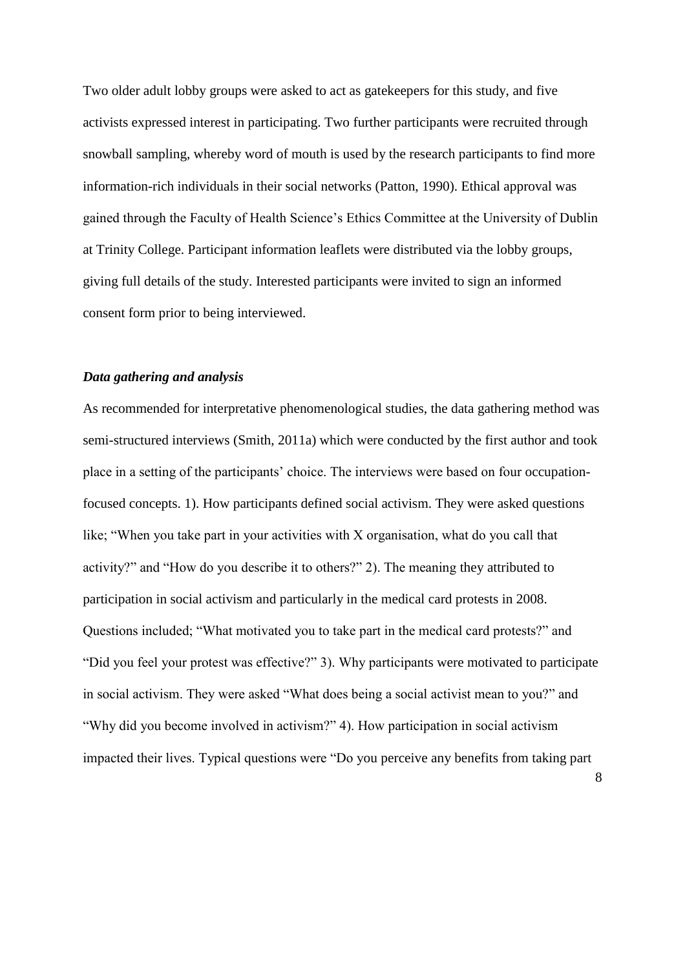Two older adult lobby groups were asked to act as gatekeepers for this study, and five activists expressed interest in participating. Two further participants were recruited through snowball sampling, whereby word of mouth is used by the research participants to find more information-rich individuals in their social networks (Patton, 1990). Ethical approval was gained through the Faculty of Health Science's Ethics Committee at the University of Dublin at Trinity College. Participant information leaflets were distributed via the lobby groups, giving full details of the study. Interested participants were invited to sign an informed consent form prior to being interviewed.

# *Data gathering and analysis*

As recommended for interpretative phenomenological studies, the data gathering method was semi-structured interviews (Smith, 2011a) which were conducted by the first author and took place in a setting of the participants' choice. The interviews were based on four occupationfocused concepts. 1). How participants defined social activism. They were asked questions like; "When you take part in your activities with X organisation, what do you call that activity?" and "How do you describe it to others?" 2). The meaning they attributed to participation in social activism and particularly in the medical card protests in 2008. Questions included; "What motivated you to take part in the medical card protests?" and "Did you feel your protest was effective?" 3). Why participants were motivated to participate in social activism. They were asked "What does being a social activist mean to you?" and "Why did you become involved in activism?" 4). How participation in social activism impacted their lives. Typical questions were "Do you perceive any benefits from taking part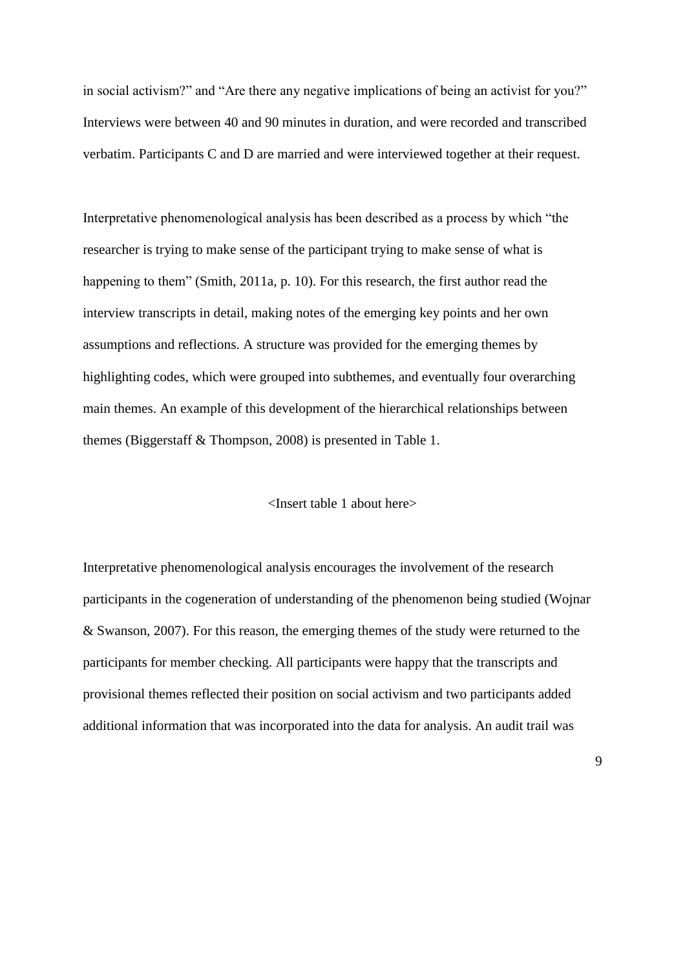in social activism?" and "Are there any negative implications of being an activist for you?" Interviews were between 40 and 90 minutes in duration, and were recorded and transcribed verbatim. Participants C and D are married and were interviewed together at their request.

Interpretative phenomenological analysis has been described as a process by which "the researcher is trying to make sense of the participant trying to make sense of what is happening to them" (Smith, 2011a, p. 10). For this research, the first author read the interview transcripts in detail, making notes of the emerging key points and her own assumptions and reflections. A structure was provided for the emerging themes by highlighting codes, which were grouped into subthemes, and eventually four overarching main themes. An example of this development of the hierarchical relationships between themes (Biggerstaff & Thompson, 2008) is presented in Table 1.

#### <Insert table 1 about here>

Interpretative phenomenological analysis encourages the involvement of the research participants in the cogeneration of understanding of the phenomenon being studied (Wojnar & Swanson, 2007). For this reason, the emerging themes of the study were returned to the participants for member checking. All participants were happy that the transcripts and provisional themes reflected their position on social activism and two participants added additional information that was incorporated into the data for analysis. An audit trail was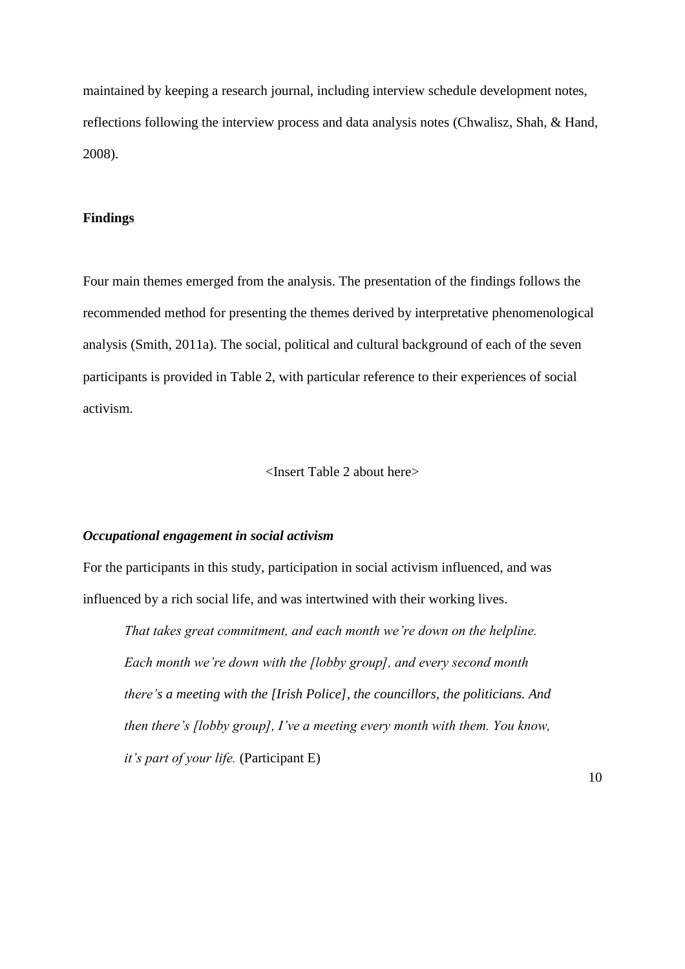maintained by keeping a research journal, including interview schedule development notes, reflections following the interview process and data analysis notes (Chwalisz, Shah, & Hand, 2008).

#### **Findings**

Four main themes emerged from the analysis. The presentation of the findings follows the recommended method for presenting the themes derived by interpretative phenomenological analysis (Smith, 2011a). The social, political and cultural background of each of the seven participants is provided in Table 2, with particular reference to their experiences of social activism.

# <Insert Table 2 about here>

# *Occupational engagement in social activism*

For the participants in this study, participation in social activism influenced, and was influenced by a rich social life, and was intertwined with their working lives.

*That takes great commitment, and each month we're down on the helpline. Each month we're down with the [lobby group], and every second month there's a meeting with the [Irish Police], the councillors, the politicians. And then there's [lobby group], I've a meeting every month with them. You know, it's part of your life.* (Participant E)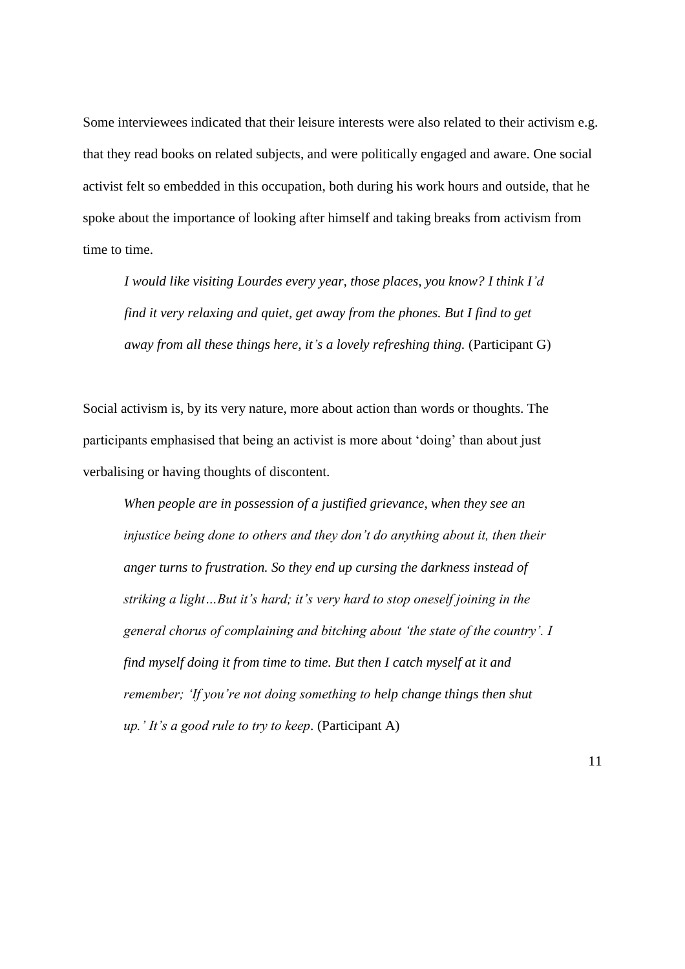Some interviewees indicated that their leisure interests were also related to their activism e.g. that they read books on related subjects, and were politically engaged and aware. One social activist felt so embedded in this occupation, both during his work hours and outside, that he spoke about the importance of looking after himself and taking breaks from activism from time to time.

*I would like visiting Lourdes every year, those places, you know? I think I'd find it very relaxing and quiet, get away from the phones. But I find to get away from all these things here, it's a lovely refreshing thing.* (Participant G)

Social activism is, by its very nature, more about action than words or thoughts. The participants emphasised that being an activist is more about 'doing' than about just verbalising or having thoughts of discontent.

*When people are in possession of a justified grievance, when they see an injustice being done to others and they don't do anything about it, then their anger turns to frustration. So they end up cursing the darkness instead of striking a light…But it's hard; it's very hard to stop oneself joining in the general chorus of complaining and bitching about 'the state of the country'. I find myself doing it from time to time. But then I catch myself at it and remember; 'If you're not doing something to help change things then shut up.' It's a good rule to try to keep*. (Participant A)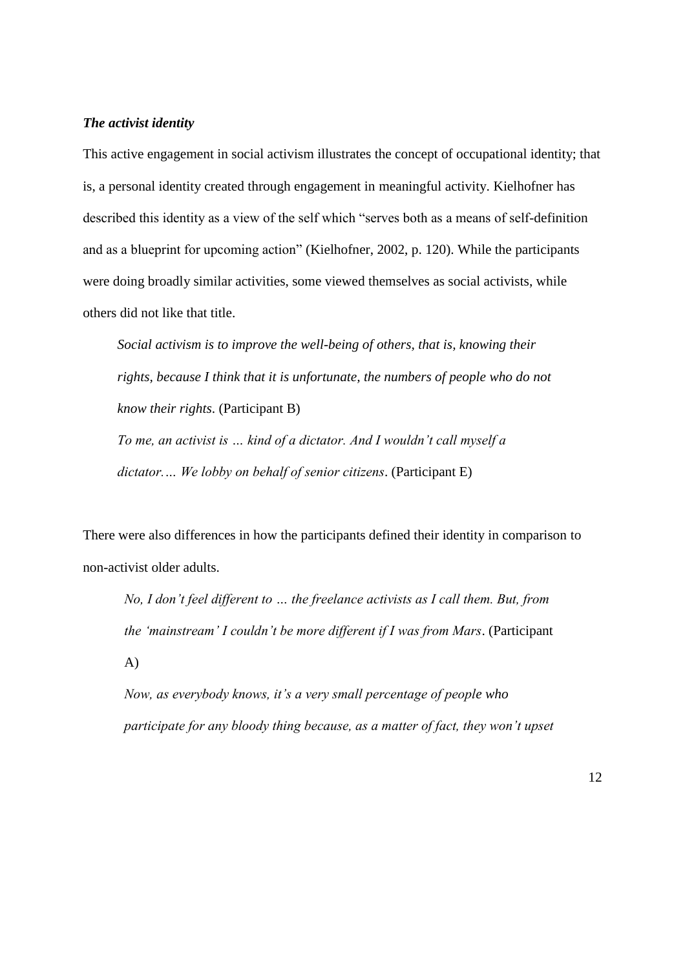### *The activist identity*

This active engagement in social activism illustrates the concept of occupational identity; that is, a personal identity created through engagement in meaningful activity. Kielhofner has described this identity as a view of the self which "serves both as a means of self-definition and as a blueprint for upcoming action" (Kielhofner, 2002, p. 120). While the participants were doing broadly similar activities, some viewed themselves as social activists, while others did not like that title.

*Social activism is to improve the well-being of others, that is, knowing their rights, because I think that it is unfortunate, the numbers of people who do not know their rights*. (Participant B) *To me, an activist is … kind of a dictator. And I wouldn't call myself a dictator.… We lobby on behalf of senior citizens*. (Participant E)

There were also differences in how the participants defined their identity in comparison to non-activist older adults.

*No, I don't feel different to … the freelance activists as I call them. But, from the 'mainstream' I couldn't be more different if I was from Mars*. (Participant A)

*Now, as everybody knows, it's a very small percentage of people who participate for any bloody thing because, as a matter of fact, they won't upset*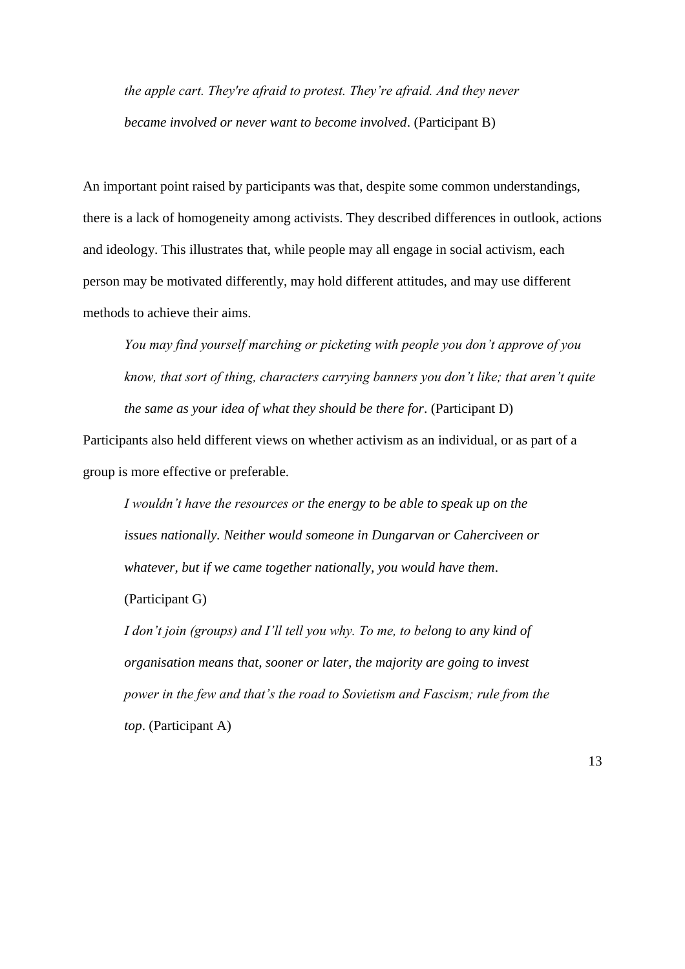*the apple cart. They're afraid to protest. They're afraid. And they never became involved or never want to become involved*. (Participant B)

An important point raised by participants was that, despite some common understandings, there is a lack of homogeneity among activists. They described differences in outlook, actions and ideology. This illustrates that, while people may all engage in social activism, each person may be motivated differently, may hold different attitudes, and may use different methods to achieve their aims.

*You may find yourself marching or picketing with people you don't approve of you know, that sort of thing, characters carrying banners you don't like; that aren't quite the same as your idea of what they should be there for*. (Participant D)

Participants also held different views on whether activism as an individual, or as part of a group is more effective or preferable.

*I wouldn't have the resources or the energy to be able to speak up on the issues nationally. Neither would someone in Dungarvan or Caherciveen or whatever, but if we came together nationally, you would have them*.

(Participant G)

*I don't join (groups) and I'll tell you why. To me, to belong to any kind of organisation means that, sooner or later, the majority are going to invest power in the few and that's the road to Sovietism and Fascism; rule from the top*. (Participant A)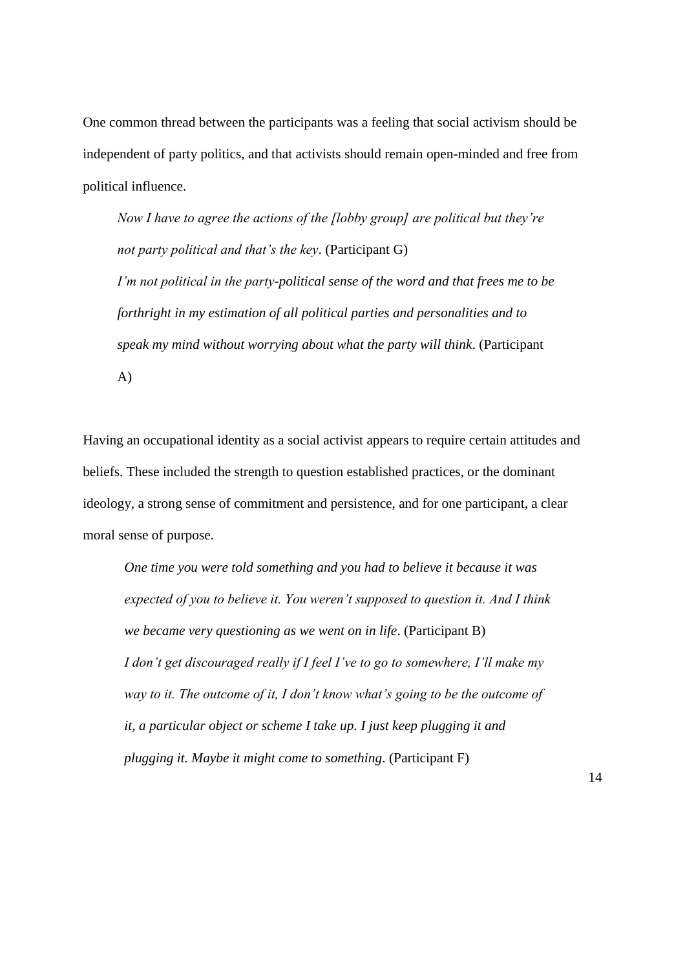One common thread between the participants was a feeling that social activism should be independent of party politics, and that activists should remain open-minded and free from political influence.

*Now I have to agree the actions of the [lobby group] are political but they're not party political and that's the key*. (Participant G) *I'm not political in the party-political sense of the word and that frees me to be forthright in my estimation of all political parties and personalities and to speak my mind without worrying about what the party will think*. (Participant

A)

Having an occupational identity as a social activist appears to require certain attitudes and beliefs. These included the strength to question established practices, or the dominant ideology, a strong sense of commitment and persistence, and for one participant, a clear moral sense of purpose.

*One time you were told something and you had to believe it because it was expected of you to believe it. You weren't supposed to question it. And I think we became very questioning as we went on in life*. (Participant B) *I don't get discouraged really if I feel I've to go to somewhere, I'll make my way to it. The outcome of it, I don't know what's going to be the outcome of it, a particular object or scheme I take up. I just keep plugging it and plugging it. Maybe it might come to something*. (Participant F)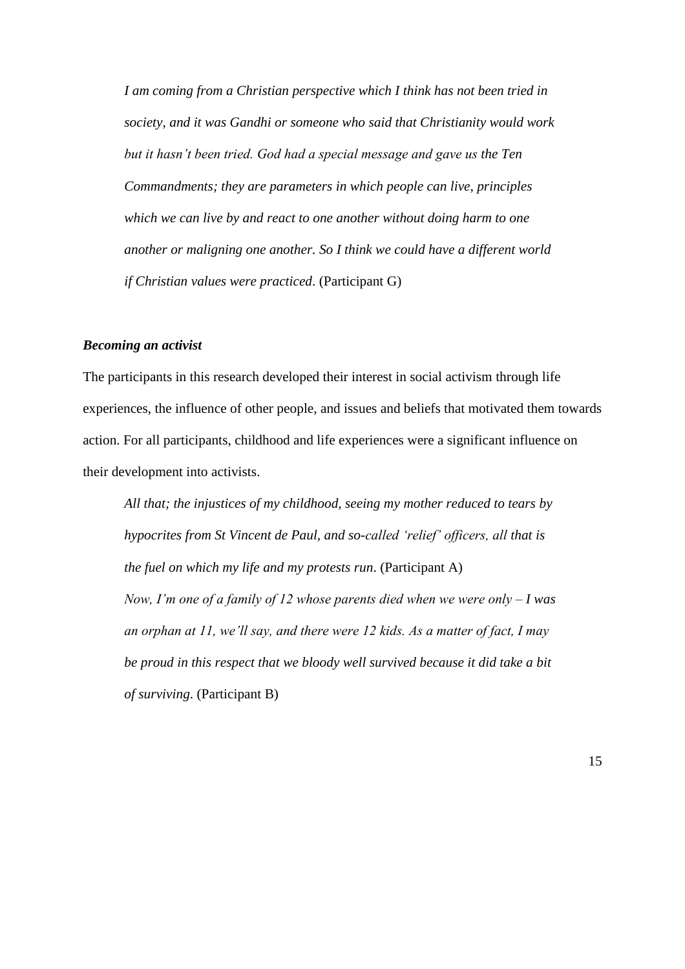*I am coming from a Christian perspective which I think has not been tried in society, and it was Gandhi or someone who said that Christianity would work but it hasn't been tried. God had a special message and gave us the Ten Commandments; they are parameters in which people can live, principles which we can live by and react to one another without doing harm to one another or maligning one another. So I think we could have a different world if Christian values were practiced*. (Participant G)

## *Becoming an activist*

The participants in this research developed their interest in social activism through life experiences, the influence of other people, and issues and beliefs that motivated them towards action. For all participants, childhood and life experiences were a significant influence on their development into activists.

*All that; the injustices of my childhood, seeing my mother reduced to tears by hypocrites from St Vincent de Paul, and so-called 'relief' officers, all that is the fuel on which my life and my protests run*. (Participant A) *Now, I'm one of a family of 12 whose parents died when we were only – I was an orphan at 11, we'll say, and there were 12 kids. As a matter of fact, I may be proud in this respect that we bloody well survived because it did take a bit of surviving*. (Participant B)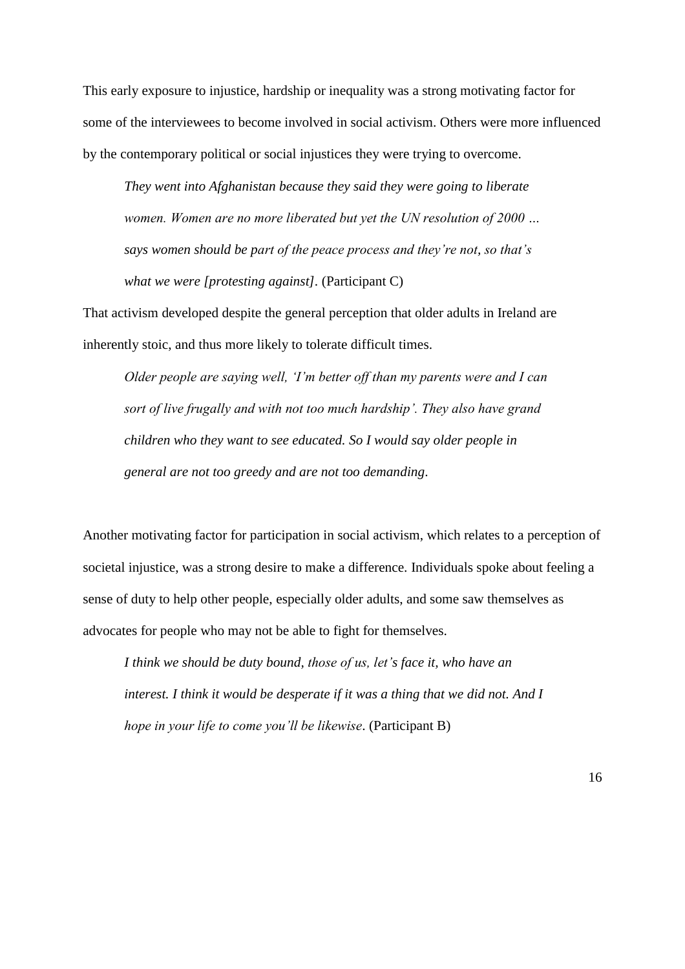This early exposure to injustice, hardship or inequality was a strong motivating factor for some of the interviewees to become involved in social activism. Others were more influenced by the contemporary political or social injustices they were trying to overcome.

*They went into Afghanistan because they said they were going to liberate women. Women are no more liberated but yet the UN resolution of 2000 … says women should be part of the peace process and they're not, so that's what we were [protesting against].* (Participant C)

That activism developed despite the general perception that older adults in Ireland are inherently stoic, and thus more likely to tolerate difficult times.

*Older people are saying well, 'I'm better off than my parents were and I can sort of live frugally and with not too much hardship'. They also have grand children who they want to see educated. So I would say older people in general are not too greedy and are not too demanding*.

Another motivating factor for participation in social activism, which relates to a perception of societal injustice, was a strong desire to make a difference. Individuals spoke about feeling a sense of duty to help other people, especially older adults, and some saw themselves as advocates for people who may not be able to fight for themselves.

*I think we should be duty bound, those of us, let's face it, who have an interest. I think it would be desperate if it was a thing that we did not. And I hope in your life to come you'll be likewise*. (Participant B)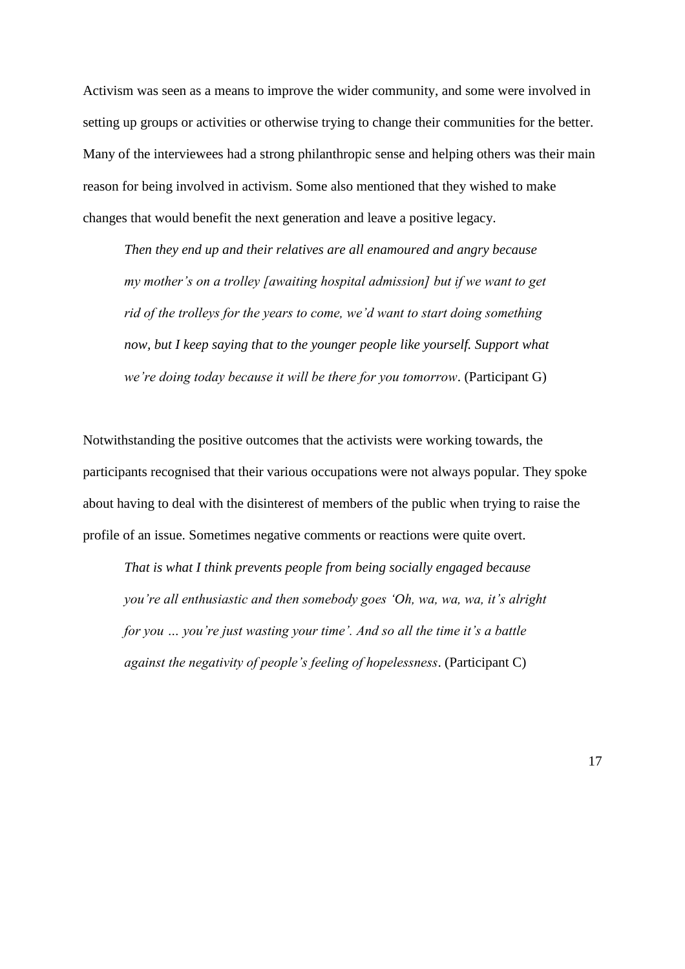Activism was seen as a means to improve the wider community, and some were involved in setting up groups or activities or otherwise trying to change their communities for the better. Many of the interviewees had a strong philanthropic sense and helping others was their main reason for being involved in activism. Some also mentioned that they wished to make changes that would benefit the next generation and leave a positive legacy.

*Then they end up and their relatives are all enamoured and angry because my mother's on a trolley [awaiting hospital admission] but if we want to get rid of the trolleys for the years to come, we'd want to start doing something now, but I keep saying that to the younger people like yourself. Support what we're doing today because it will be there for you tomorrow*. (Participant G)

Notwithstanding the positive outcomes that the activists were working towards, the participants recognised that their various occupations were not always popular. They spoke about having to deal with the disinterest of members of the public when trying to raise the profile of an issue. Sometimes negative comments or reactions were quite overt.

*That is what I think prevents people from being socially engaged because you're all enthusiastic and then somebody goes 'Oh, wa, wa, wa, it's alright for you … you're just wasting your time'. And so all the time it's a battle against the negativity of people's feeling of hopelessness*. (Participant C)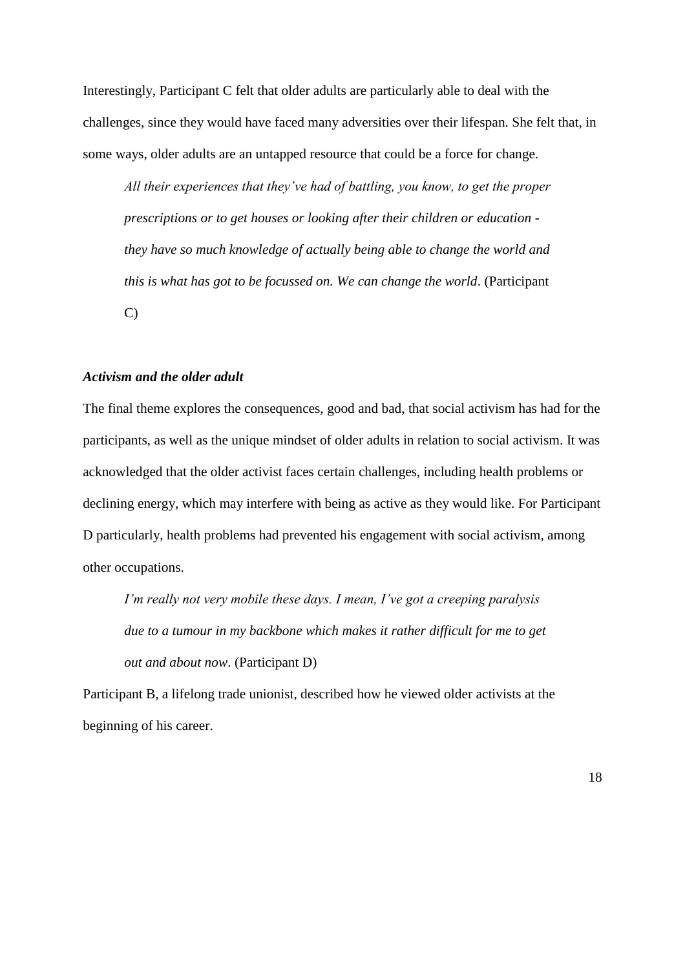Interestingly, Participant C felt that older adults are particularly able to deal with the challenges, since they would have faced many adversities over their lifespan. She felt that, in some ways, older adults are an untapped resource that could be a force for change.

*All their experiences that they've had of battling, you know, to get the proper prescriptions or to get houses or looking after their children or education they have so much knowledge of actually being able to change the world and this is what has got to be focussed on. We can change the world*. (Participant C)

# *Activism and the older adult*

The final theme explores the consequences, good and bad, that social activism has had for the participants, as well as the unique mindset of older adults in relation to social activism. It was acknowledged that the older activist faces certain challenges, including health problems or declining energy, which may interfere with being as active as they would like. For Participant D particularly, health problems had prevented his engagement with social activism, among other occupations.

*I'm really not very mobile these days. I mean, I've got a creeping paralysis due to a tumour in my backbone which makes it rather difficult for me to get out and about now*. (Participant D)

Participant B, a lifelong trade unionist, described how he viewed older activists at the beginning of his career.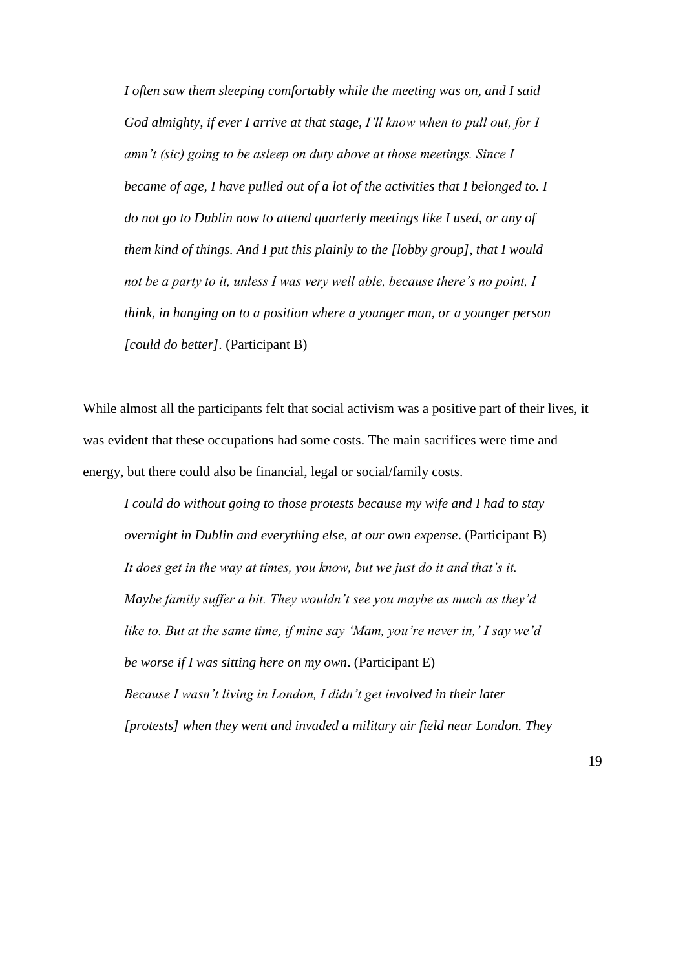*I often saw them sleeping comfortably while the meeting was on, and I said God almighty, if ever I arrive at that stage, I'll know when to pull out, for I amn't (sic) going to be asleep on duty above at those meetings. Since I became of age, I have pulled out of a lot of the activities that I belonged to. I do not go to Dublin now to attend quarterly meetings like I used, or any of them kind of things. And I put this plainly to the [lobby group], that I would not be a party to it, unless I was very well able, because there's no point, I think, in hanging on to a position where a younger man, or a younger person [could do better].* (Participant B)

While almost all the participants felt that social activism was a positive part of their lives, it was evident that these occupations had some costs. The main sacrifices were time and energy, but there could also be financial, legal or social/family costs.

*I could do without going to those protests because my wife and I had to stay overnight in Dublin and everything else, at our own expense*. (Participant B) *It does get in the way at times, you know, but we just do it and that's it. Maybe family suffer a bit. They wouldn't see you maybe as much as they'd like to. But at the same time, if mine say 'Mam, you're never in,' I say we'd be worse if I was sitting here on my own*. (Participant E) *Because I wasn't living in London, I didn't get involved in their later [protests] when they went and invaded a military air field near London. They*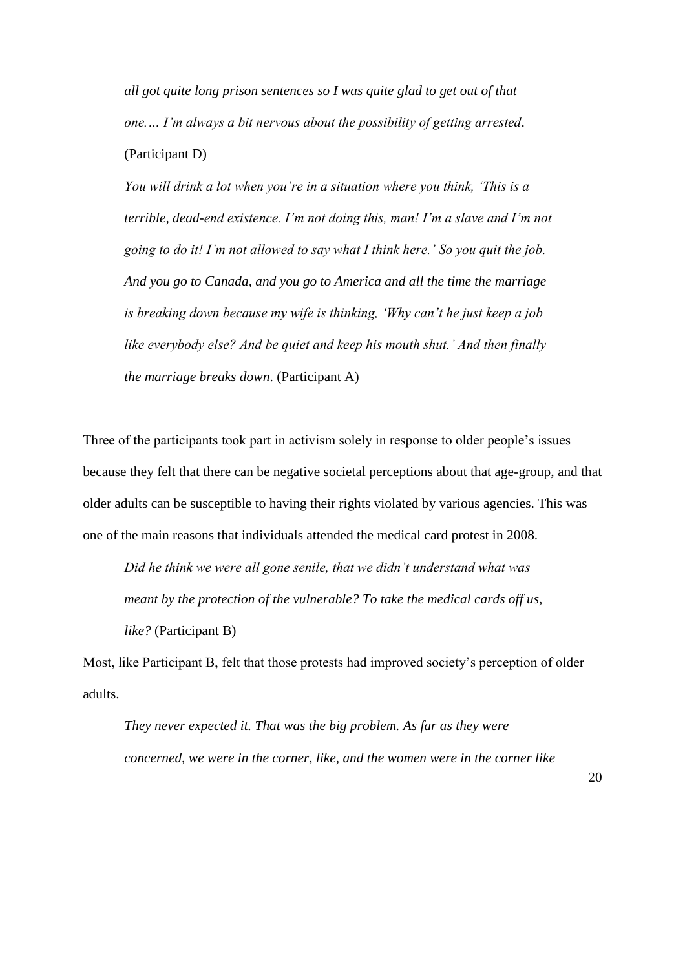*all got quite long prison sentences so I was quite glad to get out of that one.… I'm always a bit nervous about the possibility of getting arrested*. (Participant D)

*You will drink a lot when you're in a situation where you think, 'This is a terrible, dead-end existence. I'm not doing this, man! I'm a slave and I'm not going to do it! I'm not allowed to say what I think here.' So you quit the job. And you go to Canada, and you go to America and all the time the marriage is breaking down because my wife is thinking, 'Why can't he just keep a job like everybody else? And be quiet and keep his mouth shut.' And then finally the marriage breaks down*. (Participant A)

Three of the participants took part in activism solely in response to older people's issues because they felt that there can be negative societal perceptions about that age-group, and that older adults can be susceptible to having their rights violated by various agencies. This was one of the main reasons that individuals attended the medical card protest in 2008.

*Did he think we were all gone senile, that we didn't understand what was meant by the protection of the vulnerable? To take the medical cards off us, like?* (Participant B)

Most, like Participant B, felt that those protests had improved society's perception of older adults.

*They never expected it. That was the big problem. As far as they were concerned, we were in the corner, like, and the women were in the corner like*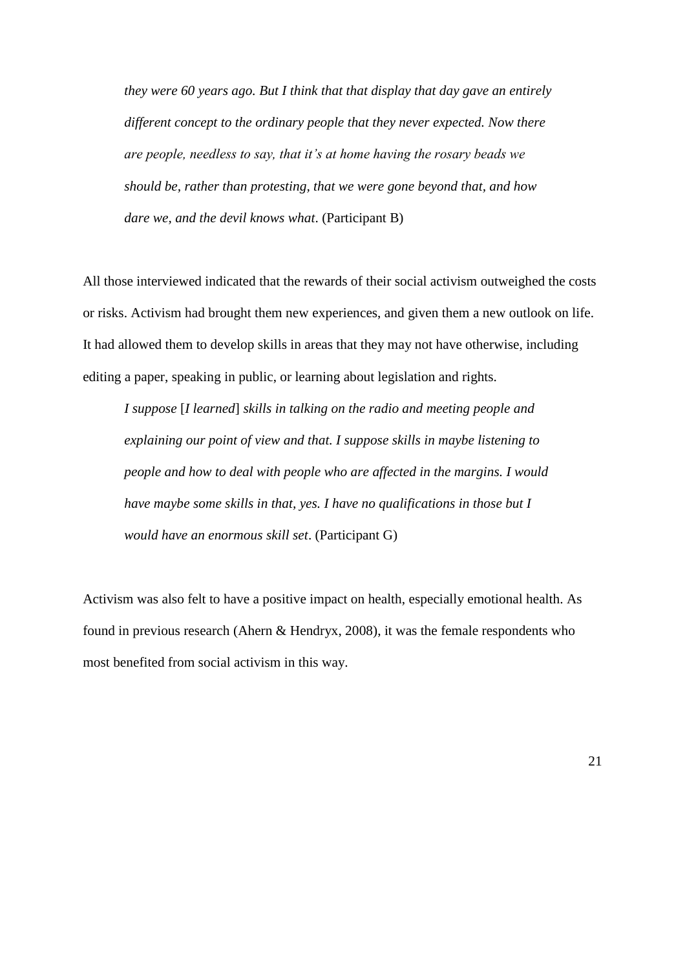*they were 60 years ago. But I think that that display that day gave an entirely different concept to the ordinary people that they never expected. Now there are people, needless to say, that it's at home having the rosary beads we should be, rather than protesting, that we were gone beyond that, and how dare we, and the devil knows what*. (Participant B)

All those interviewed indicated that the rewards of their social activism outweighed the costs or risks. Activism had brought them new experiences, and given them a new outlook on life. It had allowed them to develop skills in areas that they may not have otherwise, including editing a paper, speaking in public, or learning about legislation and rights.

*I suppose* [*I learned*] *skills in talking on the radio and meeting people and explaining our point of view and that. I suppose skills in maybe listening to people and how to deal with people who are affected in the margins. I would have maybe some skills in that, yes. I have no qualifications in those but I would have an enormous skill set*. (Participant G)

Activism was also felt to have a positive impact on health, especially emotional health. As found in previous research (Ahern & Hendryx, 2008), it was the female respondents who most benefited from social activism in this way.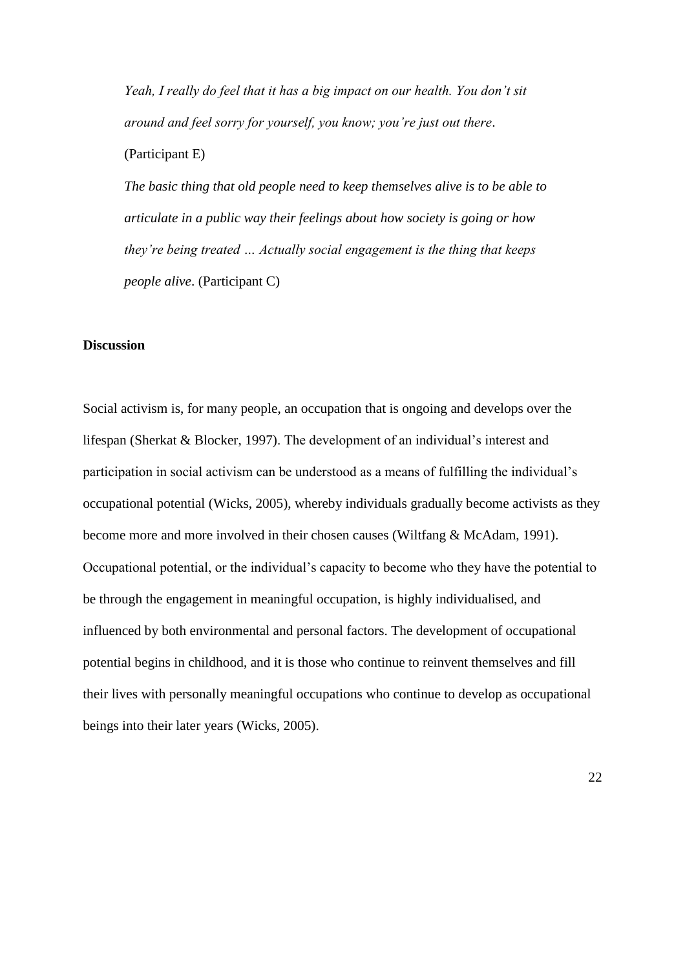*Yeah, I really do feel that it has a big impact on our health. You don't sit around and feel sorry for yourself, you know; you're just out there*.

(Participant E)

*The basic thing that old people need to keep themselves alive is to be able to articulate in a public way their feelings about how society is going or how they're being treated … Actually social engagement is the thing that keeps people alive*. (Participant C)

#### **Discussion**

Social activism is, for many people, an occupation that is ongoing and develops over the lifespan (Sherkat & Blocker, 1997). The development of an individual's interest and participation in social activism can be understood as a means of fulfilling the individual's occupational potential (Wicks, 2005), whereby individuals gradually become activists as they become more and more involved in their chosen causes (Wiltfang & McAdam, 1991). Occupational potential, or the individual's capacity to become who they have the potential to be through the engagement in meaningful occupation, is highly individualised, and influenced by both environmental and personal factors. The development of occupational potential begins in childhood, and it is those who continue to reinvent themselves and fill their lives with personally meaningful occupations who continue to develop as occupational beings into their later years (Wicks, 2005).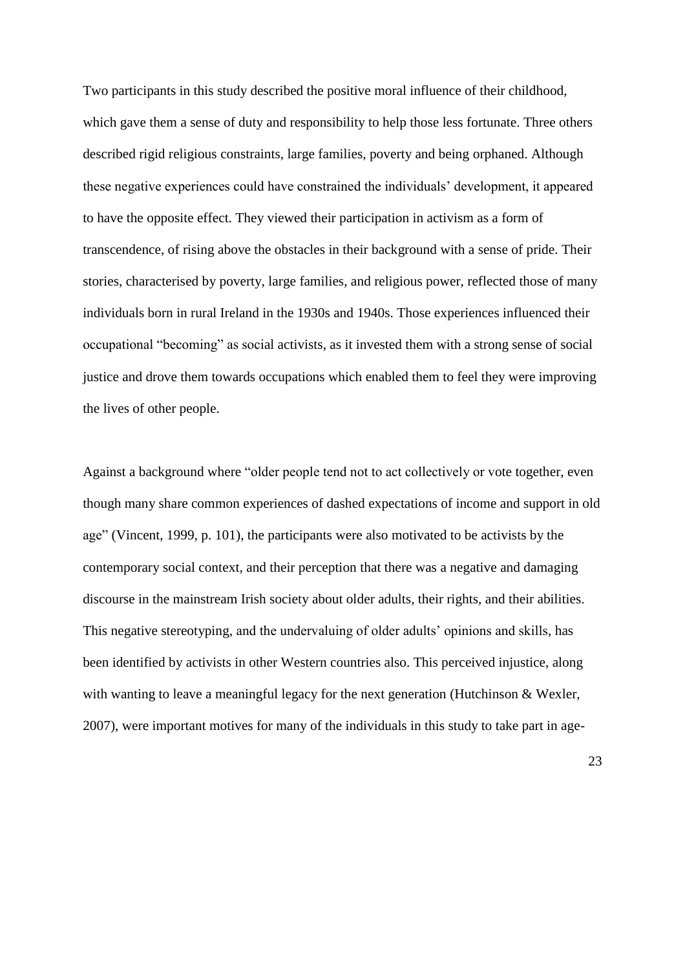Two participants in this study described the positive moral influence of their childhood, which gave them a sense of duty and responsibility to help those less fortunate. Three others described rigid religious constraints, large families, poverty and being orphaned. Although these negative experiences could have constrained the individuals' development, it appeared to have the opposite effect. They viewed their participation in activism as a form of transcendence, of rising above the obstacles in their background with a sense of pride. Their stories, characterised by poverty, large families, and religious power, reflected those of many individuals born in rural Ireland in the 1930s and 1940s. Those experiences influenced their occupational "becoming" as social activists, as it invested them with a strong sense of social justice and drove them towards occupations which enabled them to feel they were improving the lives of other people.

Against a background where "older people tend not to act collectively or vote together, even though many share common experiences of dashed expectations of income and support in old age" (Vincent, 1999, p. 101), the participants were also motivated to be activists by the contemporary social context, and their perception that there was a negative and damaging discourse in the mainstream Irish society about older adults, their rights, and their abilities. This negative stereotyping, and the undervaluing of older adults' opinions and skills, has been identified by activists in other Western countries also. This perceived injustice, along with wanting to leave a meaningful legacy for the next generation (Hutchinson & Wexler, 2007), were important motives for many of the individuals in this study to take part in age-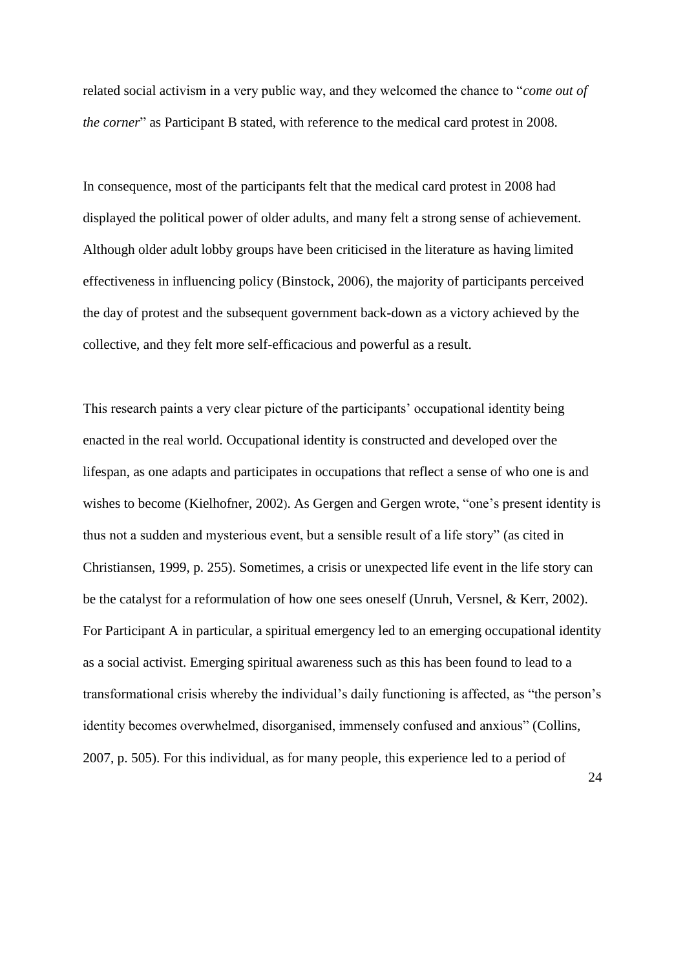related social activism in a very public way, and they welcomed the chance to "*come out of the corner*" as Participant B stated, with reference to the medical card protest in 2008.

In consequence, most of the participants felt that the medical card protest in 2008 had displayed the political power of older adults, and many felt a strong sense of achievement. Although older adult lobby groups have been criticised in the literature as having limited effectiveness in influencing policy (Binstock, 2006), the majority of participants perceived the day of protest and the subsequent government back-down as a victory achieved by the collective, and they felt more self-efficacious and powerful as a result.

This research paints a very clear picture of the participants' occupational identity being enacted in the real world. Occupational identity is constructed and developed over the lifespan, as one adapts and participates in occupations that reflect a sense of who one is and wishes to become (Kielhofner, 2002). As Gergen and Gergen wrote, "one's present identity is thus not a sudden and mysterious event, but a sensible result of a life story" (as cited in Christiansen, 1999, p. 255). Sometimes, a crisis or unexpected life event in the life story can be the catalyst for a reformulation of how one sees oneself (Unruh, Versnel, & Kerr, 2002). For Participant A in particular, a spiritual emergency led to an emerging occupational identity as a social activist. Emerging spiritual awareness such as this has been found to lead to a transformational crisis whereby the individual's daily functioning is affected, as "the person's identity becomes overwhelmed, disorganised, immensely confused and anxious" (Collins, 2007, p. 505). For this individual, as for many people, this experience led to a period of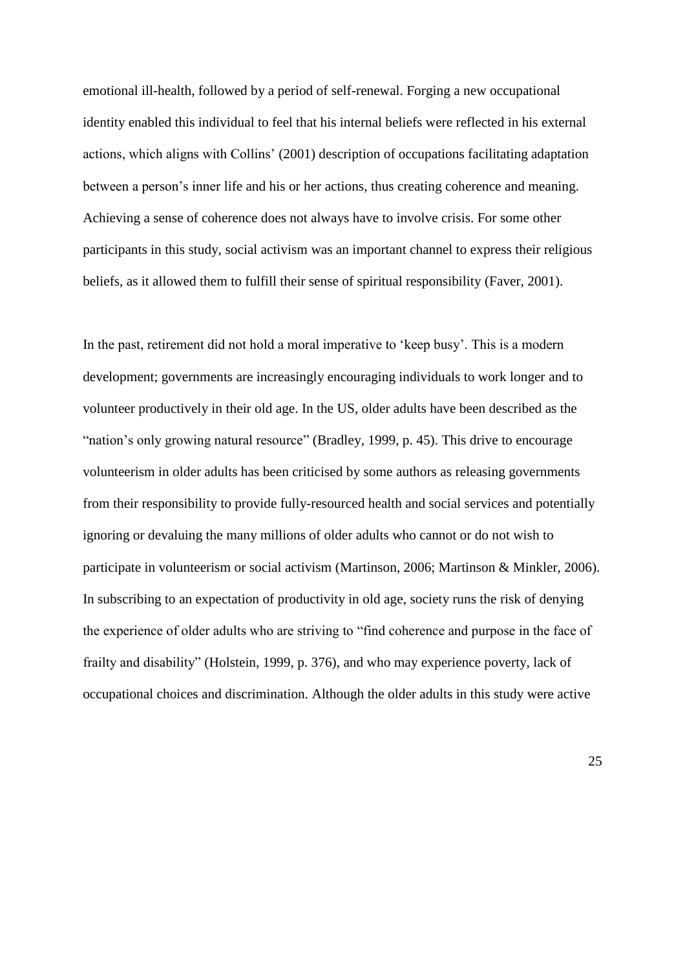emotional ill-health, followed by a period of self-renewal. Forging a new occupational identity enabled this individual to feel that his internal beliefs were reflected in his external actions, which aligns with Collins' (2001) description of occupations facilitating adaptation between a person's inner life and his or her actions, thus creating coherence and meaning. Achieving a sense of coherence does not always have to involve crisis. For some other participants in this study, social activism was an important channel to express their religious beliefs, as it allowed them to fulfill their sense of spiritual responsibility (Faver, 2001).

In the past, retirement did not hold a moral imperative to 'keep busy'. This is a modern development; governments are increasingly encouraging individuals to work longer and to volunteer productively in their old age. In the US, older adults have been described as the "nation's only growing natural resource" (Bradley, 1999, p. 45). This drive to encourage volunteerism in older adults has been criticised by some authors as releasing governments from their responsibility to provide fully-resourced health and social services and potentially ignoring or devaluing the many millions of older adults who cannot or do not wish to participate in volunteerism or social activism (Martinson, 2006; Martinson & Minkler, 2006). In subscribing to an expectation of productivity in old age, society runs the risk of denying the experience of older adults who are striving to "find coherence and purpose in the face of frailty and disability" (Holstein, 1999, p. 376), and who may experience poverty, lack of occupational choices and discrimination. Although the older adults in this study were active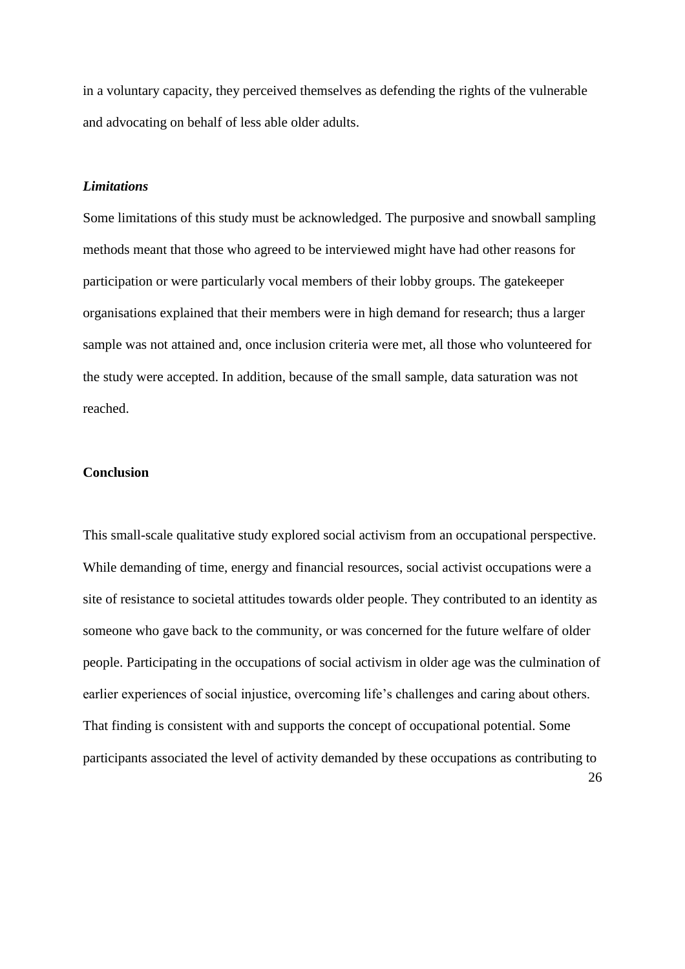in a voluntary capacity, they perceived themselves as defending the rights of the vulnerable and advocating on behalf of less able older adults.

## *Limitations*

Some limitations of this study must be acknowledged. The purposive and snowball sampling methods meant that those who agreed to be interviewed might have had other reasons for participation or were particularly vocal members of their lobby groups. The gatekeeper organisations explained that their members were in high demand for research; thus a larger sample was not attained and, once inclusion criteria were met, all those who volunteered for the study were accepted. In addition, because of the small sample, data saturation was not reached.

# **Conclusion**

26 This small-scale qualitative study explored social activism from an occupational perspective. While demanding of time, energy and financial resources, social activist occupations were a site of resistance to societal attitudes towards older people. They contributed to an identity as someone who gave back to the community, or was concerned for the future welfare of older people. Participating in the occupations of social activism in older age was the culmination of earlier experiences of social injustice, overcoming life's challenges and caring about others. That finding is consistent with and supports the concept of occupational potential. Some participants associated the level of activity demanded by these occupations as contributing to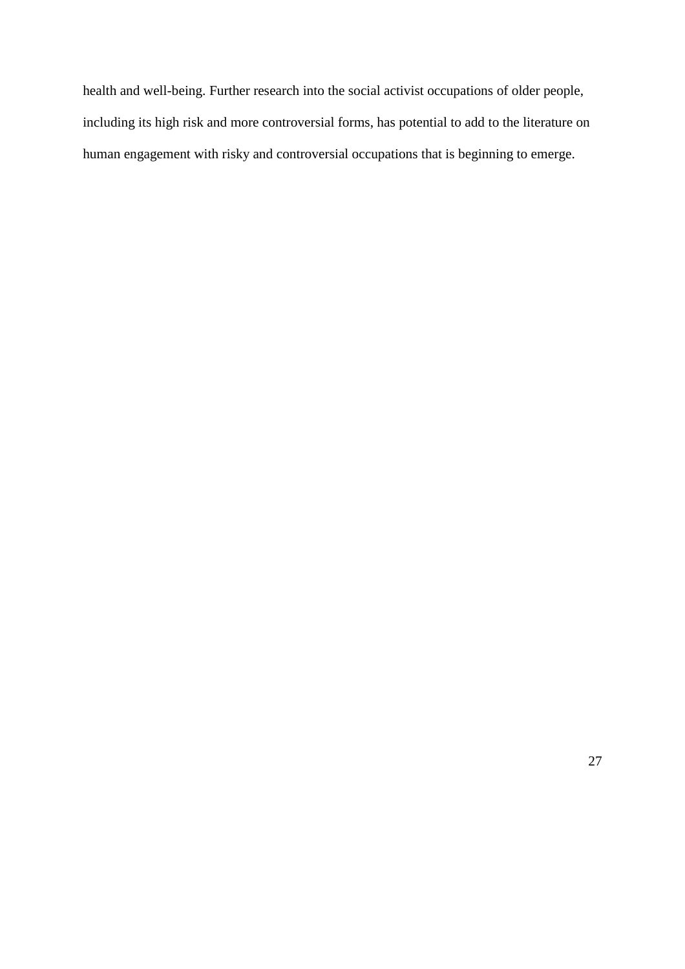health and well-being. Further research into the social activist occupations of older people, including its high risk and more controversial forms, has potential to add to the literature on human engagement with risky and controversial occupations that is beginning to emerge.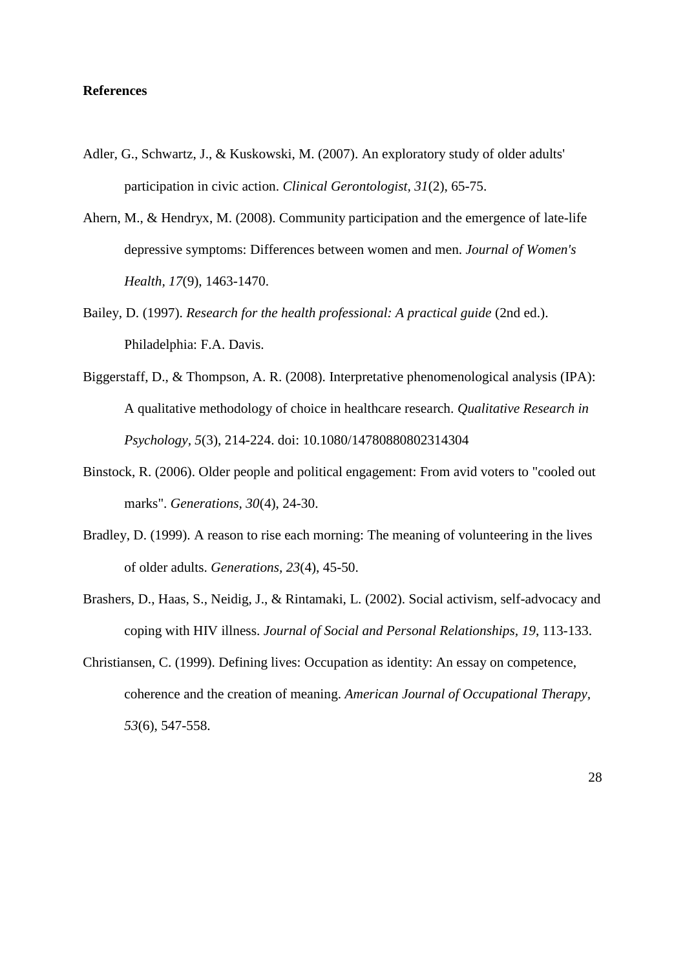## **References**

- Adler, G., Schwartz, J., & Kuskowski, M. (2007). An exploratory study of older adults' participation in civic action. *Clinical Gerontologist, 31*(2), 65-75.
- Ahern, M., & Hendryx, M. (2008). Community participation and the emergence of late-life depressive symptoms: Differences between women and men. *Journal of Women's Health, 17*(9), 1463-1470.
- Bailey, D. (1997). *Research for the health professional: A practical guide* (2nd ed.). Philadelphia: F.A. Davis.
- Biggerstaff, D., & Thompson, A. R. (2008). Interpretative phenomenological analysis (IPA): A qualitative methodology of choice in healthcare research. *Qualitative Research in Psychology, 5*(3), 214-224. doi: 10.1080/14780880802314304
- Binstock, R. (2006). Older people and political engagement: From avid voters to "cooled out marks". *Generations, 30*(4), 24-30.
- Bradley, D. (1999). A reason to rise each morning: The meaning of volunteering in the lives of older adults. *Generations, 23*(4), 45-50.
- Brashers, D., Haas, S., Neidig, J., & Rintamaki, L. (2002). Social activism, self-advocacy and coping with HIV illness. *Journal of Social and Personal Relationships, 19*, 113-133.
- Christiansen, C. (1999). Defining lives: Occupation as identity: An essay on competence, coherence and the creation of meaning. *American Journal of Occupational Therapy, 53*(6), 547-558.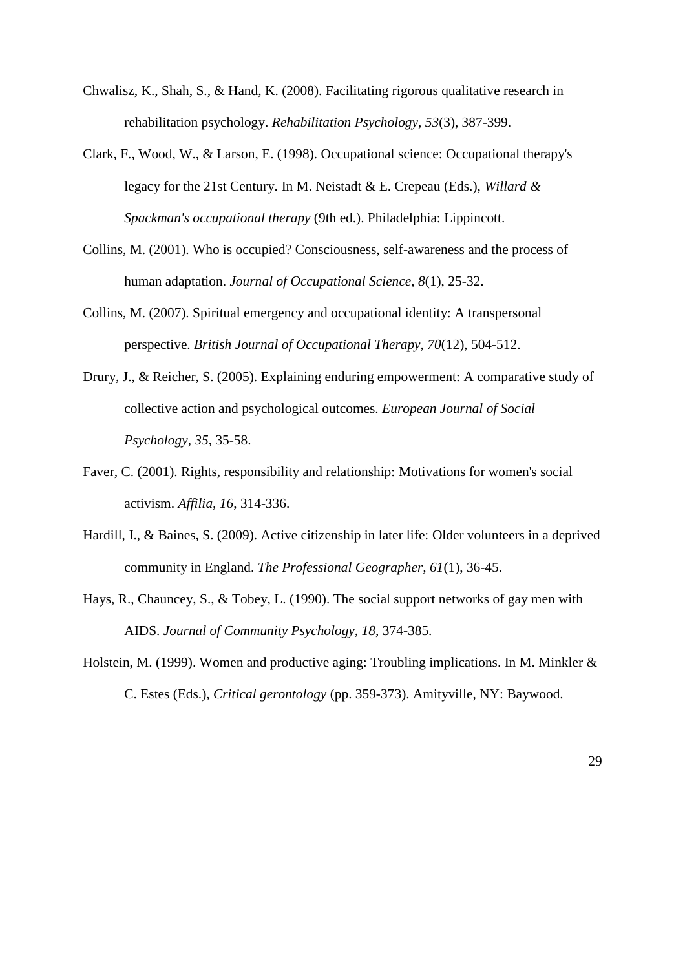- Chwalisz, K., Shah, S., & Hand, K. (2008). Facilitating rigorous qualitative research in rehabilitation psychology. *Rehabilitation Psychology, 53*(3), 387-399.
- Clark, F., Wood, W., & Larson, E. (1998). Occupational science: Occupational therapy's legacy for the 21st Century. In M. Neistadt & E. Crepeau (Eds.), *Willard & Spackman's occupational therapy* (9th ed.). Philadelphia: Lippincott.
- Collins, M. (2001). Who is occupied? Consciousness, self-awareness and the process of human adaptation. *Journal of Occupational Science, 8*(1), 25-32.
- Collins, M. (2007). Spiritual emergency and occupational identity: A transpersonal perspective. *British Journal of Occupational Therapy, 70*(12), 504-512.
- Drury, J., & Reicher, S. (2005). Explaining enduring empowerment: A comparative study of collective action and psychological outcomes. *European Journal of Social Psychology, 35*, 35-58.
- Faver, C. (2001). Rights, responsibility and relationship: Motivations for women's social activism. *Affilia, 16*, 314-336.
- Hardill, I., & Baines, S. (2009). Active citizenship in later life: Older volunteers in a deprived community in England. *The Professional Geographer, 61*(1), 36-45.
- Hays, R., Chauncey, S., & Tobey, L. (1990). The social support networks of gay men with AIDS. *Journal of Community Psychology, 18*, 374-385.
- Holstein, M. (1999). Women and productive aging: Troubling implications. In M. Minkler & C. Estes (Eds.), *Critical gerontology* (pp. 359-373). Amityville, NY: Baywood.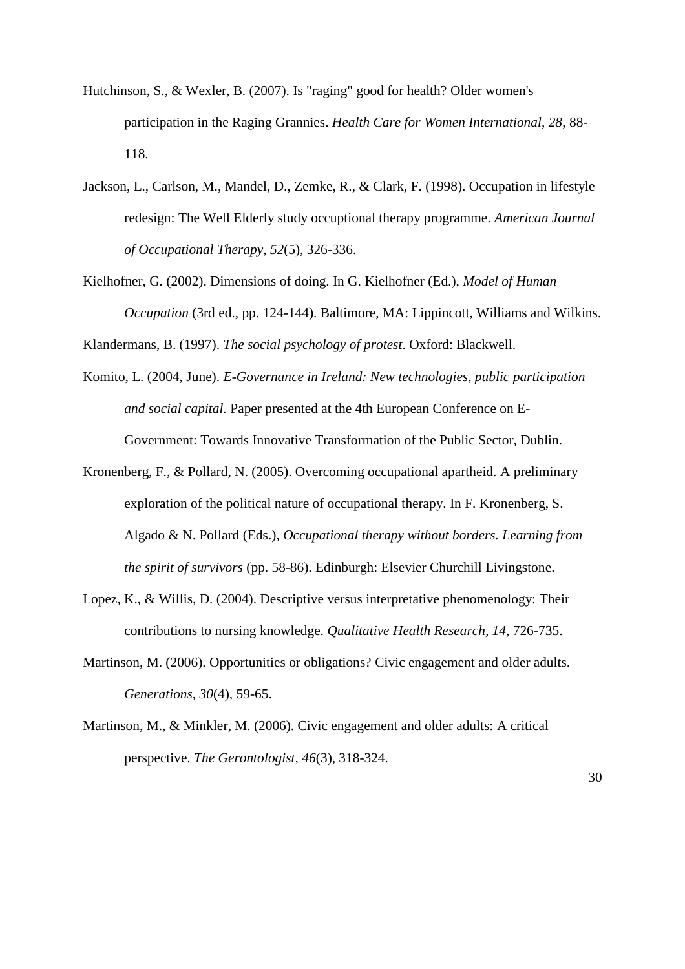- Hutchinson, S., & Wexler, B. (2007). Is "raging" good for health? Older women's participation in the Raging Grannies. *Health Care for Women International, 28*, 88- 118.
- Jackson, L., Carlson, M., Mandel, D., Zemke, R., & Clark, F. (1998). Occupation in lifestyle redesign: The Well Elderly study occuptional therapy programme. *American Journal of Occupational Therapy, 52*(5), 326-336.
- Kielhofner, G. (2002). Dimensions of doing. In G. Kielhofner (Ed.), *Model of Human Occupation* (3rd ed., pp. 124-144). Baltimore, MA: Lippincott, Williams and Wilkins.

Klandermans, B. (1997). *The social psychology of protest*. Oxford: Blackwell.

- Komito, L. (2004, June). *E-Governance in Ireland: New technologies, public participation and social capital.* Paper presented at the 4th European Conference on E-Government: Towards Innovative Transformation of the Public Sector, Dublin.
- Kronenberg, F., & Pollard, N. (2005). Overcoming occupational apartheid. A preliminary exploration of the political nature of occupational therapy. In F. Kronenberg, S. Algado & N. Pollard (Eds.), *Occupational therapy without borders. Learning from the spirit of survivors* (pp. 58-86). Edinburgh: Elsevier Churchill Livingstone.
- Lopez, K., & Willis, D. (2004). Descriptive versus interpretative phenomenology: Their contributions to nursing knowledge. *Qualitative Health Research, 14*, 726-735.
- Martinson, M. (2006). Opportunities or obligations? Civic engagement and older adults. *Generations, 30*(4), 59-65.
- Martinson, M., & Minkler, M. (2006). Civic engagement and older adults: A critical perspective. *The Gerontologist, 46*(3), 318-324.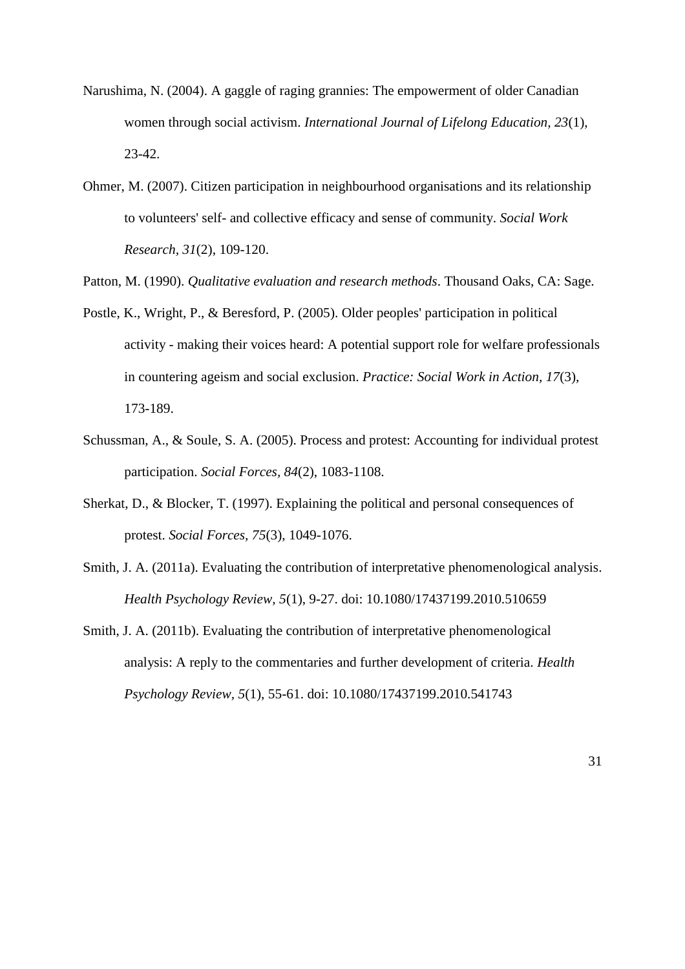- Narushima, N. (2004). A gaggle of raging grannies: The empowerment of older Canadian women through social activism. *International Journal of Lifelong Education, 23*(1), 23-42.
- Ohmer, M. (2007). Citizen participation in neighbourhood organisations and its relationship to volunteers' self- and collective efficacy and sense of community. *Social Work Research, 31*(2), 109-120.
- Patton, M. (1990). *Qualitative evaluation and research methods*. Thousand Oaks, CA: Sage.
- Postle, K., Wright, P., & Beresford, P. (2005). Older peoples' participation in political activity - making their voices heard: A potential support role for welfare professionals in countering ageism and social exclusion. *Practice: Social Work in Action, 17*(3), 173-189.
- Schussman, A., & Soule, S. A. (2005). Process and protest: Accounting for individual protest participation. *Social Forces, 84*(2), 1083-1108.
- Sherkat, D., & Blocker, T. (1997). Explaining the political and personal consequences of protest. *Social Forces, 75*(3), 1049-1076.
- Smith, J. A. (2011a). Evaluating the contribution of interpretative phenomenological analysis. *Health Psychology Review, 5*(1), 9-27. doi: 10.1080/17437199.2010.510659
- Smith, J. A. (2011b). Evaluating the contribution of interpretative phenomenological analysis: A reply to the commentaries and further development of criteria. *Health Psychology Review, 5*(1), 55-61. doi: 10.1080/17437199.2010.541743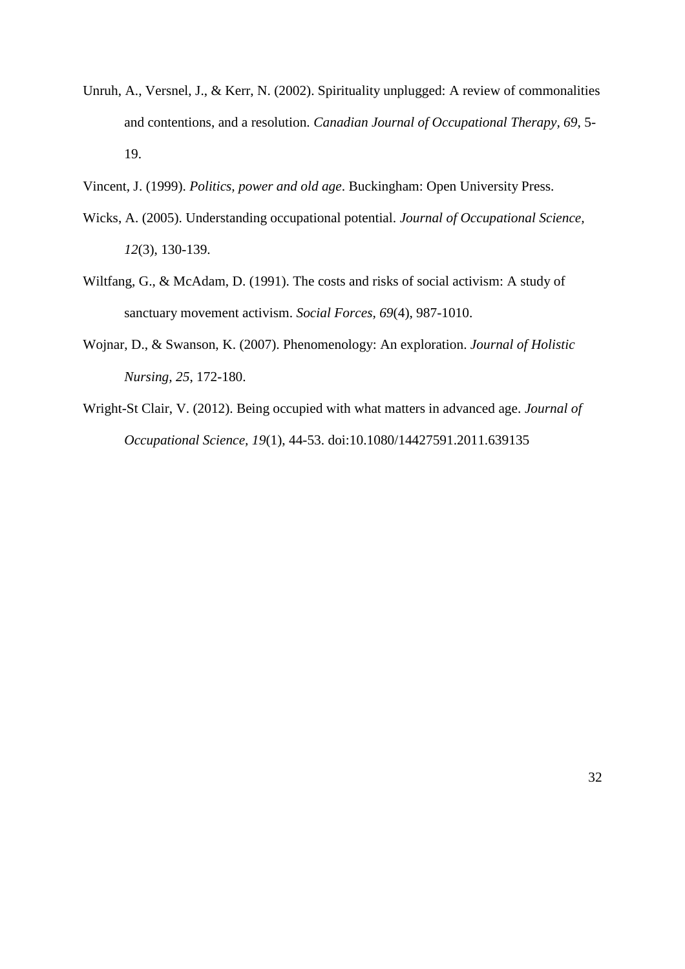- Unruh, A., Versnel, J., & Kerr, N. (2002). Spirituality unplugged: A review of commonalities and contentions, and a resolution. *Canadian Journal of Occupational Therapy, 69*, 5- 19.
- Vincent, J. (1999). *Politics, power and old age*. Buckingham: Open University Press.
- Wicks, A. (2005). Understanding occupational potential. *Journal of Occupational Science, 12*(3), 130-139.
- Wiltfang, G., & McAdam, D. (1991). The costs and risks of social activism: A study of sanctuary movement activism. *Social Forces, 69*(4), 987-1010.
- Wojnar, D., & Swanson, K. (2007). Phenomenology: An exploration. *Journal of Holistic Nursing, 25*, 172-180.
- Wright-St Clair, V. (2012). Being occupied with what matters in advanced age. *Journal of Occupational Science, 19*(1), 44-53. doi:10.1080/14427591.2011.639135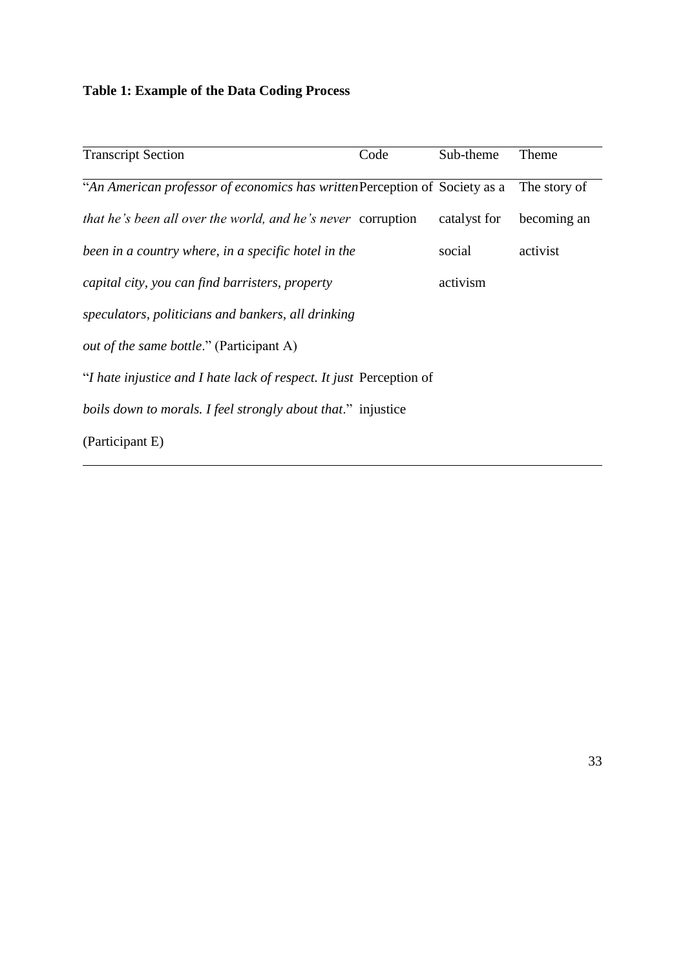# **Table 1: Example of the Data Coding Process**

| <b>Transcript Section</b>                                                  | Code | Sub-theme    | Theme        |
|----------------------------------------------------------------------------|------|--------------|--------------|
| "An American professor of economics has written Perception of Society as a |      |              | The story of |
| that he's been all over the world, and he's never corruption               |      | catalyst for | becoming an  |
| been in a country where, in a specific hotel in the                        |      | social       | activist     |
| capital city, you can find barristers, property                            |      | activism     |              |
| speculators, politicians and bankers, all drinking                         |      |              |              |
| <i>out of the same bottle.</i> " (Participant A)                           |      |              |              |
| "I hate injustice and I hate lack of respect. It just Perception of        |      |              |              |
| boils down to morals. I feel strongly about that." injustice               |      |              |              |
| (Participant E)                                                            |      |              |              |